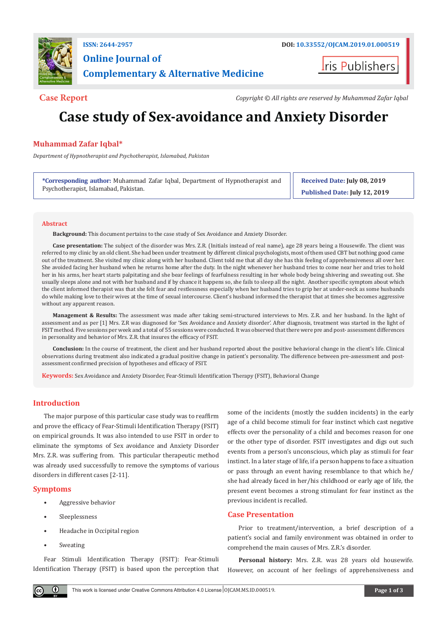

## **Online Journal of Complementary & Alternative Medicine**

**I**ris Publishers

**Case Report** *Copyright © All rights are reserved by Muhammad Zafar Iqbal*

# **Case study of Sex-avoidance and Anxiety Disorder**

## **Muhammad Zafar Iqbal\***

*Department of Hypnotherapist and Psychotherapist, Islamabad, Pakistan*

**\*Corresponding author:** Muhammad Zafar Iqbal, Department of Hypnotherapist and Psychotherapist, Islamabad, Pakistan.

**Received Date: July 08, 2019 Published Date: July 12, 2019**

#### **Abstract**

**Background:** This document pertains to the case study of Sex Avoidance and Anxiety Disorder.

**Case presentation:** The subject of the disorder was Mrs. Z.R. (Initials instead of real name), age 28 years being a Housewife. The client was referred to my clinic by an old client. She had been under treatment by different clinical psychologists, most of them used CBT but nothing good came out of the treatment. She visited my clinic along with her husband. Client told me that all day she has this feeling of apprehensiveness all over her. She avoided facing her husband when he returns home after the duty. In the night whenever her husband tries to come near her and tries to hold her in his arms, her heart starts palpitating and she bear feelings of fearfulness resulting in her whole body being shivering and sweating out. She usually sleeps alone and not with her husband and if by chance it happens so, she fails to sleep all the night. Another specific symptom about which the client informed therapist was that she felt fear and restlessness especially when her husband tries to grip her at under-neck as some husbands do while making love to their wives at the time of sexual intercourse. Client's husband informed the therapist that at times she becomes aggressive without any apparent reason.

**Management & Results:** The assessment was made after taking semi-structured interviews to Mrs. Z.R. and her husband. In the light of assessment and as per [1] Mrs. Z.R was diagnosed for 'Sex Avoidance and Anxiety disorder'. After diagnosis, treatment was started in the light of FSIT method. Five sessions per week and a total of 55 sessions were conducted. It was observed that there were pre and post- assessment differences in personality and behavior of Mrs. Z.R. that insures the efficacy of FSIT.

**Conclusion:** In the course of treatment, the client and her husband reported about the positive behavioral change in the client's life. Clinical observations during treatment also indicated a gradual positive change in patient's personality. The difference between pre-assessment and postassessment confirmed precision of hypotheses and efficacy of FSIT.

**Keywords:** Sex Avoidance and Anxiety Disorder, Fear-Stimuli Identification Therapy (FSIT), Behavioral Change

## **Introduction**

The major purpose of this particular case study was to reaffirm and prove the efficacy of Fear-Stimuli Identification Therapy (FSIT) on empirical grounds. It was also intended to use FSIT in order to eliminate the symptoms of Sex avoidance and Anxiety Disorder Mrs. Z.R. was suffering from. This particular therapeutic method was already used successfully to remove the symptoms of various disorders in different cases [2-11].

## **Symptoms**

- Aggressive behavior
- Sleeplessness
- Headache in Occipital region
- **Sweating**

Fear Stimuli Identification Therapy (FSIT): Fear-Stimuli Identification Therapy (FSIT) is based upon the perception that some of the incidents (mostly the sudden incidents) in the early age of a child become stimuli for fear instinct which cast negative effects over the personality of a child and becomes reason for one or the other type of disorder. FSIT investigates and digs out such events from a person's unconscious, which play as stimuli for fear instinct. In a later stage of life, if a person happens to face a situation or pass through an event having resemblance to that which he/ she had already faced in her/his childhood or early age of life, the present event becomes a strong stimulant for fear instinct as the previous incident is recalled.

## **Case Presentation**

Prior to treatment/intervention, a brief description of a patient's social and family environment was obtained in order to comprehend the main causes of Mrs. Z.R.'s disorder.

**Personal history:** Mrs. Z.R. was 28 years old housewife. However, on account of her feelings of apprehensiveness and

 $\bf \Theta$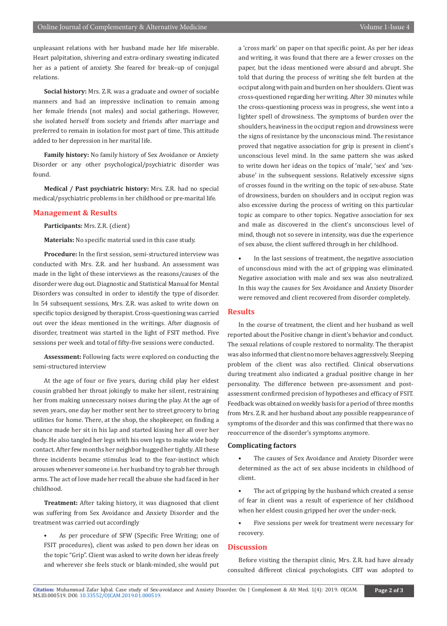unpleasant relations with her husband made her life miserable. Heart palpitation, shivering and extra-ordinary sweating indicated her as a patient of anxiety. She feared for break–up of conjugal relations.

**Social history:** Mrs. Z.R. was a graduate and owner of sociable manners and had an impressive inclination to remain among her female friends (not males) and social gatherings. However, she isolated herself from society and friends after marriage and preferred to remain in isolation for most part of time. This attitude added to her depression in her marital life.

**Family history:** No family history of Sex Avoidance or Anxiety Disorder or any other psychological/psychiatric disorder was found.

**Medical / Past psychiatric history:** Mrs. Z.R. had no special medical/psychiatric problems in her childhood or pre-marital life.

#### **Management & Results**

**Participants:** Mrs. Z.R. (client)

**Materials:** No specific material used in this case study.

**Procedure:** In the first session, semi-structured interview was conducted with Mrs. Z.R. and her husband. An assessment was made in the light of these interviews as the reasons/causes of the disorder were dug out. Diagnostic and Statistical Manual for Mental Disorders was consulted in order to identify the type of disorder. In 54 subsequent sessions, Mrs. Z.R. was asked to write down on specific topics designed by therapist. Cross-questioning was carried out over the ideas mentioned in the writings. After diagnosis of disorder, treatment was started in the light of FSIT method. Five sessions per week and total of fifty-five sessions were conducted.

**Assessment:** Following facts were explored on conducting the semi-structured interview

At the age of four or five years, during child play her eldest cousin grabbed her throat jokingly to make her silent, restraining her from making unnecessary noises during the play. At the age of seven years, one day her mother sent her to street grocery to bring utilities for home. There, at the shop, the shopkeeper, on finding a chance made her sit in his lap and started kissing her all over her body. He also tangled her legs with his own legs to make wide body contact. After few months her neighbor hugged her tightly. All these three incidents became stimulus lead to the fear-instinct which arouses whenever someone i.e. her husband try to grab her through arms. The act of love made her recall the abuse she had faced in her childhood.

**Treatment:** After taking history, it was diagnosed that client was suffering from Sex Avoidance and Anxiety Disorder and the treatment was carried out accordingly

As per procedure of SFW (Specific Free Writing; one of FSIT procedures), client was asked to pen down her ideas on the topic "Grip". Client was asked to write down her ideas freely and wherever she feels stuck or blank-minded, she would put a 'cross mark' on paper on that specific point. As per her ideas and writing, it was found that there are a fewer crosses on the paper, but the ideas mentioned were absurd and abrupt. She told that during the process of writing she felt burden at the occiput along with pain and burden on her shoulders. Client was cross-questioned regarding her writing. After 30 minutes while the cross-questioning process was in progress, she went into a lighter spell of drowsiness. The symptoms of burden over the shoulders, heaviness in the occiput region and drowsiness were the signs of resistance by the unconscious mind. The resistance proved that negative association for grip is present in client's unconscious level mind. In the same pattern she was asked to write down her ideas on the topics of 'male', 'sex' and 'sexabuse' in the subsequent sessions. Relatively excessive signs of crosses found in the writing on the topic of sex-abuse. State of drowsiness, burden on shoulders and in occiput region was also excessive during the process of writing on this particular topic as compare to other topics. Negative association for sex and male as discovered in the client's unconscious level of mind, though not so severe in intensity, was due the experience of sex abuse, the client suffered through in her childhood.

In the last sessions of treatment, the negative association of unconscious mind with the act of gripping was eliminated. Negative association with male and sex was also neutralized. In this way the causes for Sex Avoidance and Anxiety Disorder were removed and client recovered from disorder completely.

#### **Results**

In the course of treatment, the client and her husband as well reported about the Positive change in client's behavior and conduct. The sexual relations of couple restored to normality. The therapist was also informed that client no more behaves aggressively. Sleeping problem of the client was also rectified. Clinical observations during treatment also indicated a gradual positive change in her personality. The difference between pre-assessment and postassessment confirmed precision of hypotheses and efficacy of FSIT. Feedback was obtained on weekly basis for a period of three months from Mrs. Z.R. and her husband about any possible reappearance of symptoms of the disorder and this was confirmed that there was no reoccurrence of the disorder's symptoms anymore.

#### **Complicating factors**

- The causes of Sex Avoidance and Anxiety Disorder were determined as the act of sex abuse incidents in childhood of client.
- The act of gripping by the husband which created a sense of fear in client was a result of experience of her childhood when her eldest cousin gripped her over the under-neck.
- Five sessions per week for treatment were necessary for recovery.

#### **Discussion**

Before visiting the therapist clinic, Mrs. Z.R. had have already consulted different clinical psychologists. CBT was adopted to